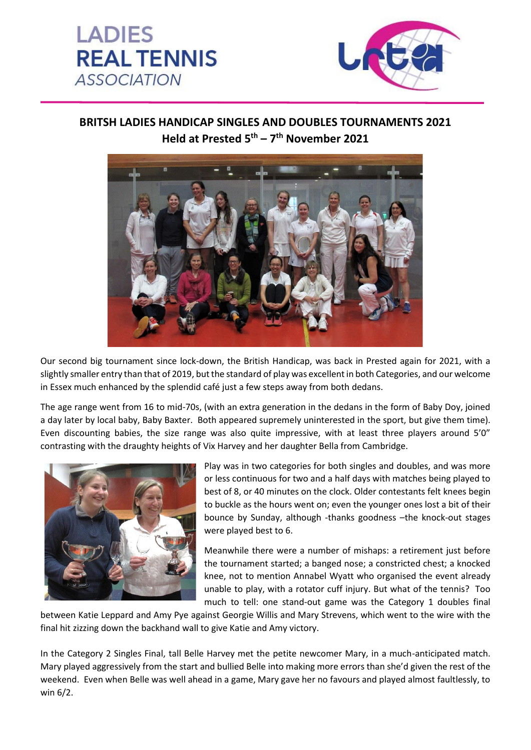



## **BRITSH LADIES HANDICAP SINGLES AND DOUBLES TOURNAMENTS 2021 Held at Prested 5th – 7 th November 2021**



Our second big tournament since lock-down, the British Handicap, was back in Prested again for 2021, with a slightly smaller entry than that of 2019, but the standard of play was excellent in both Categories, and our welcome in Essex much enhanced by the splendid café just a few steps away from both dedans.

The age range went from 16 to mid-70s, (with an extra generation in the dedans in the form of Baby Doy, joined a day later by local baby, Baby Baxter. Both appeared supremely uninterested in the sport, but give them time). Even discounting babies, the size range was also quite impressive, with at least three players around 5'0" contrasting with the draughty heights of Vix Harvey and her daughter Bella from Cambridge.



Play was in two categories for both singles and doubles, and was more or less continuous for two and a half days with matches being played to best of 8, or 40 minutes on the clock. Older contestants felt knees begin to buckle as the hours went on; even the younger ones lost a bit of their bounce by Sunday, although -thanks goodness –the knock-out stages were played best to 6.

Meanwhile there were a number of mishaps: a retirement just before the tournament started; a banged nose; a constricted chest; a knocked knee, not to mention Annabel Wyatt who organised the event already unable to play, with a rotator cuff injury. But what of the tennis? Too much to tell: one stand-out game was the Category 1 doubles final

between Katie Leppard and Amy Pye against Georgie Willis and Mary Strevens, which went to the wire with the final hit zizzing down the backhand wall to give Katie and Amy victory.

In the Category 2 Singles Final, tall Belle Harvey met the petite newcomer Mary, in a much-anticipated match. Mary played aggressively from the start and bullied Belle into making more errors than she'd given the rest of the weekend. Even when Belle was well ahead in a game, Mary gave her no favours and played almost faultlessly, to win 6/2.